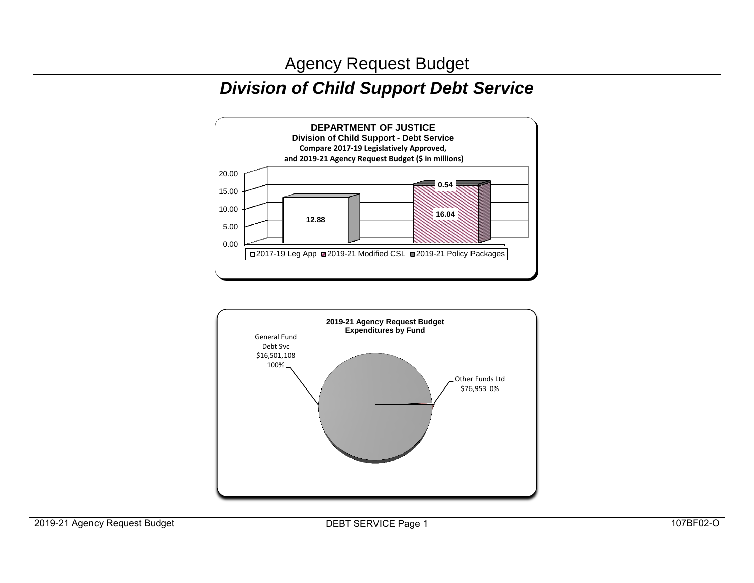## *Division of Child Support Debt Service*



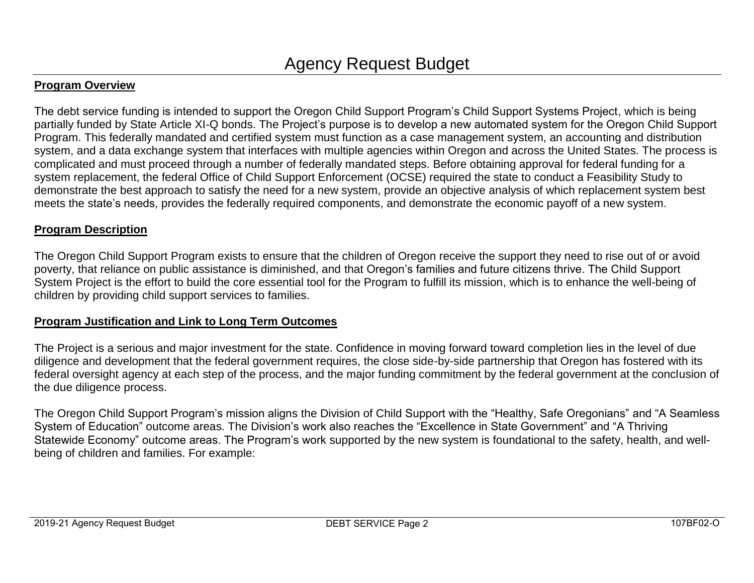#### **Program Overview**

The debt service funding is intended to support the Oregon Child Support Program's Child Support Systems Project, which is being partially funded by State Article XI-Q bonds. The Project's purpose is to develop a new automated system for the Oregon Child Support Program. This federally mandated and certified system must function as a case management system, an accounting and distribution system, and a data exchange system that interfaces with multiple agencies within Oregon and across the United States. The process is complicated and must proceed through a number of federally mandated steps. Before obtaining approval for federal funding for a system replacement, the federal Office of Child Support Enforcement (OCSE) required the state to conduct a Feasibility Study to demonstrate the best approach to satisfy the need for a new system, provide an objective analysis of which replacement system best meets the state's needs, provides the federally required components, and demonstrate the economic payoff of a new system.

#### **Program Description**

The Oregon Child Support Program exists to ensure that the children of Oregon receive the support they need to rise out of or avoid poverty, that reliance on public assistance is diminished, and that Oregon's families and future citizens thrive. The Child Support System Project is the effort to build the core essential tool for the Program to fulfill its mission, which is to enhance the well-being of children by providing child support services to families.

#### **Program Justification and Link to Long Term Outcomes**

The Project is a serious and major investment for the state. Confidence in moving forward toward completion lies in the level of due diligence and development that the federal government requires, the close side-by-side partnership that Oregon has fostered with its federal oversight agency at each step of the process, and the major funding commitment by the federal government at the conclusion of the due diligence process.

The Oregon Child Support Program's mission aligns the Division of Child Support with the "Healthy, Safe Oregonians" and "A Seamless System of Education" outcome areas. The Division's work also reaches the "Excellence in State Government" and "A Thriving Statewide Economy" outcome areas. The Program's work supported by the new system is foundational to the safety, health, and wellbeing of children and families. For example: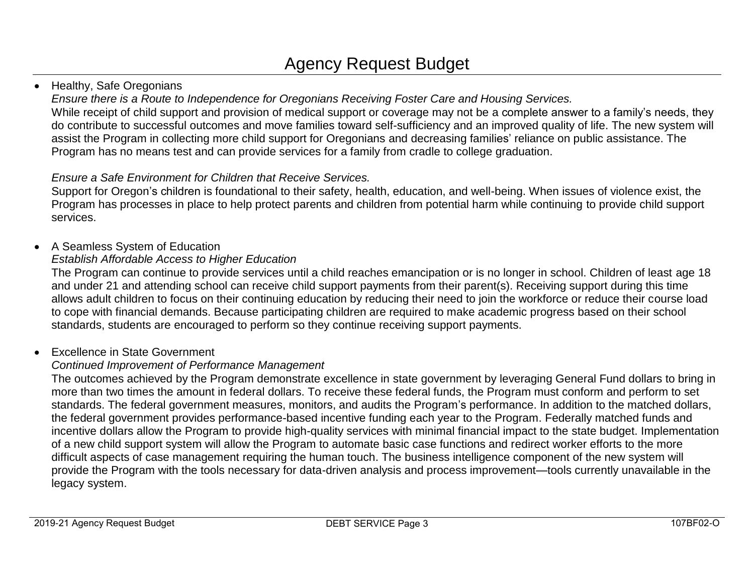### • Healthy, Safe Oregonians

*Ensure there is a Route to Independence for Oregonians Receiving Foster Care and Housing Services.*

While receipt of child support and provision of medical support or coverage may not be a complete answer to a family's needs, they do contribute to successful outcomes and move families toward self-sufficiency and an improved quality of life. The new system will assist the Program in collecting more child support for Oregonians and decreasing families' reliance on public assistance. The Program has no means test and can provide services for a family from cradle to college graduation.

## *Ensure a Safe Environment for Children that Receive Services.*

Support for Oregon's children is foundational to their safety, health, education, and well-being. When issues of violence exist, the Program has processes in place to help protect parents and children from potential harm while continuing to provide child support services.

## • A Seamless System of Education

## *Establish Affordable Access to Higher Education*

The Program can continue to provide services until a child reaches emancipation or is no longer in school. Children of least age 18 and under 21 and attending school can receive child support payments from their parent(s). Receiving support during this time allows adult children to focus on their continuing education by reducing their need to join the workforce or reduce their course load to cope with financial demands. Because participating children are required to make academic progress based on their school standards, students are encouraged to perform so they continue receiving support payments.

## Excellence in State Government

## *Continued Improvement of Performance Management*

The outcomes achieved by the Program demonstrate excellence in state government by leveraging General Fund dollars to bring in more than two times the amount in federal dollars. To receive these federal funds, the Program must conform and perform to set standards. The federal government measures, monitors, and audits the Program's performance. In addition to the matched dollars, the federal government provides performance-based incentive funding each year to the Program. Federally matched funds and incentive dollars allow the Program to provide high-quality services with minimal financial impact to the state budget. Implementation of a new child support system will allow the Program to automate basic case functions and redirect worker efforts to the more difficult aspects of case management requiring the human touch. The business intelligence component of the new system will provide the Program with the tools necessary for data-driven analysis and process improvement—tools currently unavailable in the legacy system.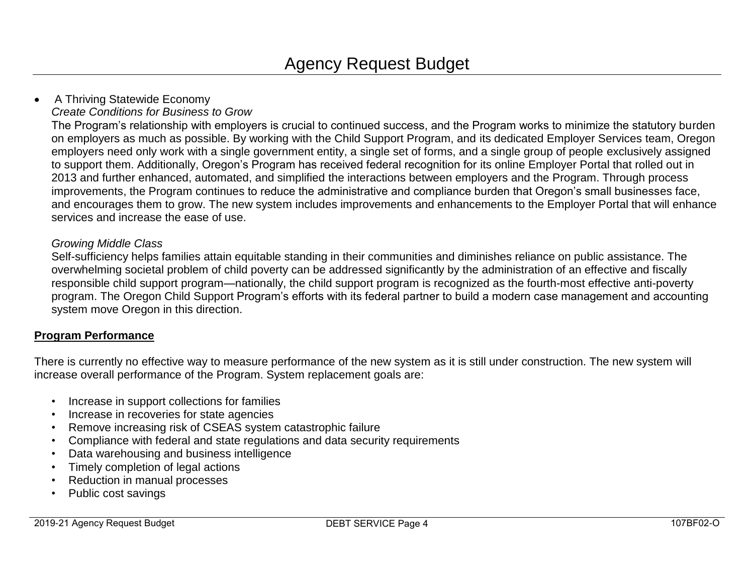## • A Thriving Statewide Economy

*Create Conditions for Business to Grow*

The Program's relationship with employers is crucial to continued success, and the Program works to minimize the statutory burden on employers as much as possible. By working with the Child Support Program, and its dedicated Employer Services team, Oregon employers need only work with a single government entity, a single set of forms, and a single group of people exclusively assigned to support them. Additionally, Oregon's Program has received federal recognition for its online Employer Portal that rolled out in 2013 and further enhanced, automated, and simplified the interactions between employers and the Program. Through process improvements, the Program continues to reduce the administrative and compliance burden that Oregon's small businesses face, and encourages them to grow. The new system includes improvements and enhancements to the Employer Portal that will enhance services and increase the ease of use.

#### *Growing Middle Class*

Self-sufficiency helps families attain equitable standing in their communities and diminishes reliance on public assistance. The overwhelming societal problem of child poverty can be addressed significantly by the administration of an effective and fiscally responsible child support program—nationally, the child support program is recognized as the fourth-most effective anti-poverty program. The Oregon Child Support Program's efforts with its federal partner to build a modern case management and accounting system move Oregon in this direction.

#### **Program Performance**

There is currently no effective way to measure performance of the new system as it is still under construction. The new system will increase overall performance of the Program. System replacement goals are:

- Increase in support collections for families
- Increase in recoveries for state agencies
- Remove increasing risk of CSEAS system catastrophic failure
- Compliance with federal and state regulations and data security requirements
- Data warehousing and business intelligence
- Timely completion of legal actions
- Reduction in manual processes
- Public cost savings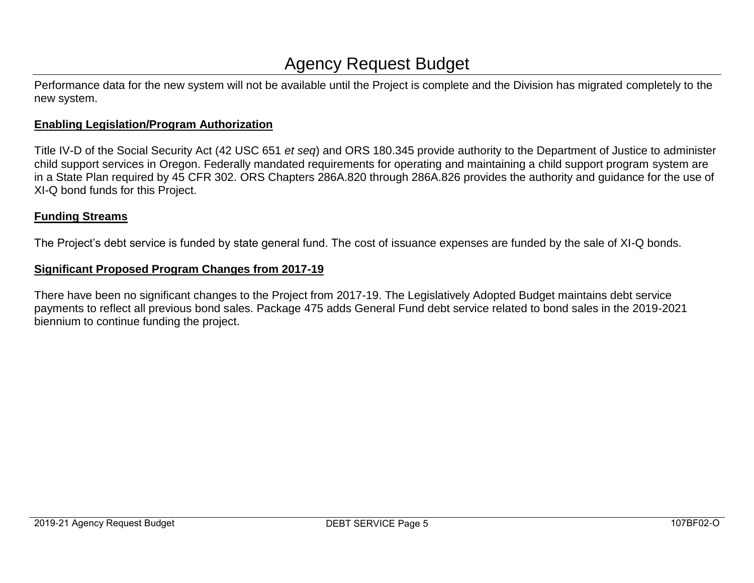Performance data for the new system will not be available until the Project is complete and the Division has migrated completely to the new system.

#### **Enabling Legislation/Program Authorization**

Title IV-D of the Social Security Act (42 USC 651 *et seq*) and ORS 180.345 provide authority to the Department of Justice to administer child support services in Oregon. Federally mandated requirements for operating and maintaining a child support program system are in a State Plan required by 45 CFR 302. ORS Chapters 286A.820 through 286A.826 provides the authority and guidance for the use of XI-Q bond funds for this Project.

#### **Funding Streams**

The Project's debt service is funded by state general fund. The cost of issuance expenses are funded by the sale of XI-Q bonds.

#### **Significant Proposed Program Changes from 2017-19**

There have been no significant changes to the Project from 2017-19. The Legislatively Adopted Budget maintains debt service payments to reflect all previous bond sales. Package 475 adds General Fund debt service related to bond sales in the 2019-2021 biennium to continue funding the project.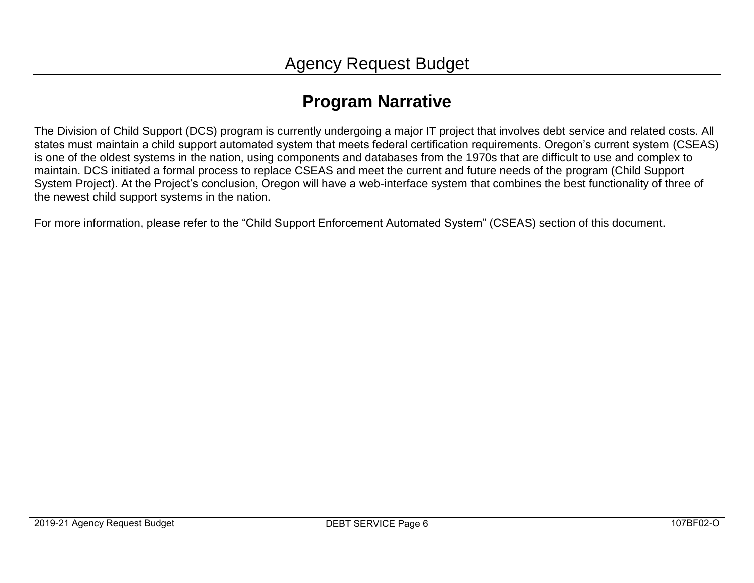## **Program Narrative**

The Division of Child Support (DCS) program is currently undergoing a major IT project that involves debt service and related costs. All states must maintain a child support automated system that meets federal certification requirements. Oregon's current system (CSEAS) is one of the oldest systems in the nation, using components and databases from the 1970s that are difficult to use and complex to maintain. DCS initiated a formal process to replace CSEAS and meet the current and future needs of the program (Child Support System Project). At the Project's conclusion, Oregon will have a web-interface system that combines the best functionality of three of the newest child support systems in the nation.

For more information, please refer to the "Child Support Enforcement Automated System" (CSEAS) section of this document.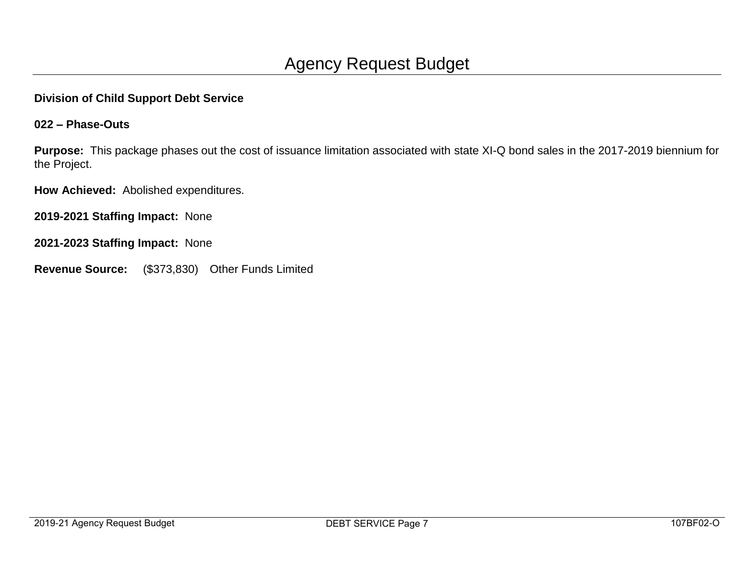#### **Division of Child Support Debt Service**

#### **022 – Phase-Outs**

**Purpose:** This package phases out the cost of issuance limitation associated with state XI-Q bond sales in the 2017-2019 biennium for the Project.

**How Achieved:** Abolished expenditures.

**2019-2021 Staffing Impact:** None

**2021-2023 Staffing Impact:** None

**Revenue Source:** (\$373,830) Other Funds Limited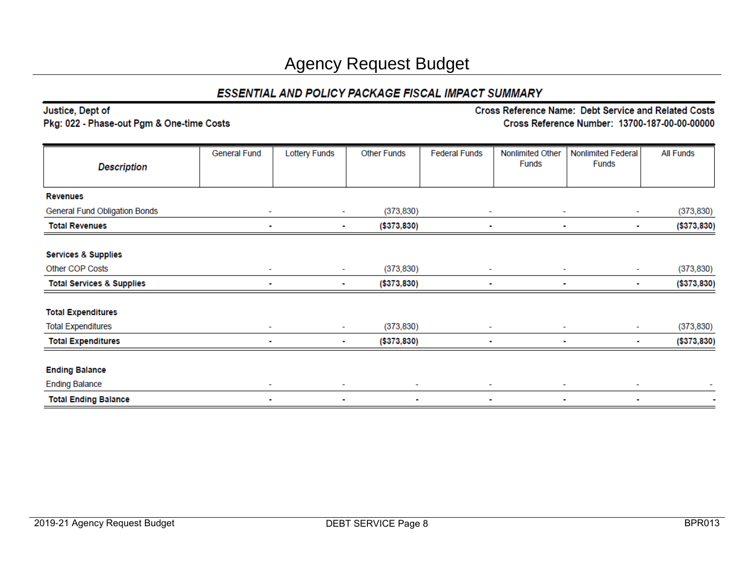### ESSENTIAL AND POLICY PACKAGE FISCAL IMPACT SUMMARY

| Justice, Dept of<br>Pkg: 022 - Phase-out Pgm & One-time Costs |                          | Cross Reference Name: Debt Service and Related Costs<br>Cross Reference Number: 13700-187-00-00-00000 |                               |                      |                                  |                                    |                  |  |  |
|---------------------------------------------------------------|--------------------------|-------------------------------------------------------------------------------------------------------|-------------------------------|----------------------|----------------------------------|------------------------------------|------------------|--|--|
|                                                               |                          |                                                                                                       |                               |                      |                                  |                                    |                  |  |  |
| <b>Description</b>                                            | <b>General Fund</b>      | <b>Lottery Funds</b>                                                                                  | <b>Other Funds</b>            | <b>Federal Funds</b> | Nonlimited Other<br><b>Funds</b> | Nonlimited Federal<br><b>Funds</b> | <b>All Funds</b> |  |  |
| <b>Revenues</b>                                               |                          |                                                                                                       |                               |                      |                                  |                                    |                  |  |  |
| General Fund Obligation Bonds                                 | $\sim$                   |                                                                                                       | (373, 830)<br>٠               |                      |                                  | $\overline{\phantom{a}}$           | (373, 830)       |  |  |
| <b>Total Revenues</b>                                         | $\blacksquare$           | ٠                                                                                                     | (\$373,830)                   | $\blacksquare$       | ٠                                | ٠                                  | ( \$373, 830)    |  |  |
| <b>Services &amp; Supplies</b>                                |                          |                                                                                                       |                               |                      |                                  |                                    |                  |  |  |
| Other COP Costs                                               | $\overline{\phantom{a}}$ |                                                                                                       | (373, 830)<br>÷               |                      |                                  | $\overline{\phantom{a}}$           | (373, 830)       |  |  |
| <b>Total Services &amp; Supplies</b>                          | ٠                        |                                                                                                       | (\$373,830)<br>٠              |                      |                                  | ٠<br>٠                             | (\$373,830)      |  |  |
| <b>Total Expenditures</b>                                     |                          |                                                                                                       |                               |                      |                                  |                                    |                  |  |  |
| <b>Total Expenditures</b>                                     | ٠                        |                                                                                                       | (373, 830)<br>٠               | $\sim$               | ۰                                | ۰                                  | (373, 830)       |  |  |
| <b>Total Expenditures</b>                                     |                          |                                                                                                       | (\$373,830)<br>$\blacksquare$ | ٠                    |                                  | $\blacksquare$<br>٠                | ( \$373, 830)    |  |  |
| <b>Ending Balance</b>                                         |                          |                                                                                                       |                               |                      |                                  |                                    |                  |  |  |
| <b>Ending Balance</b>                                         |                          | ۰                                                                                                     |                               |                      |                                  |                                    |                  |  |  |
| <b>Total Ending Balance</b>                                   | ٠                        | ٠                                                                                                     | $\blacksquare$                | ٠                    | ٠                                | $\blacksquare$                     | $\blacksquare$   |  |  |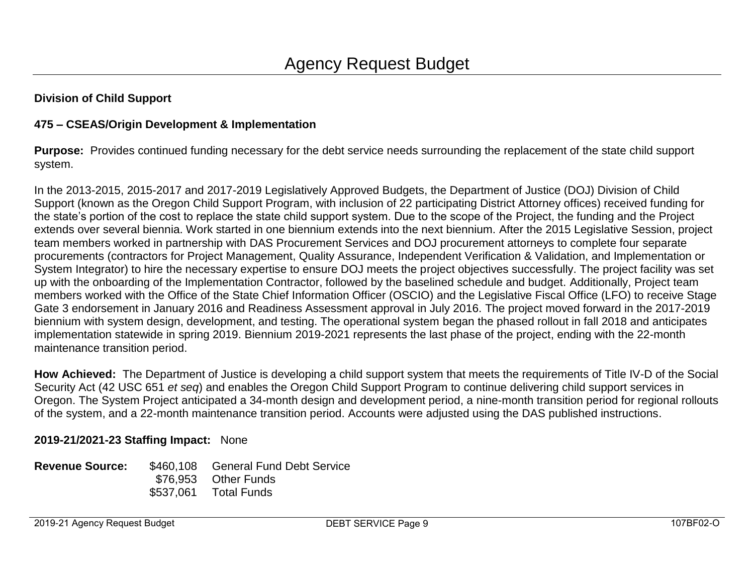#### **Division of Child Support**

#### **475 – CSEAS/Origin Development & Implementation**

**Purpose:** Provides continued funding necessary for the debt service needs surrounding the replacement of the state child support system.

In the 2013-2015, 2015-2017 and 2017-2019 Legislatively Approved Budgets, the Department of Justice (DOJ) Division of Child Support (known as the Oregon Child Support Program, with inclusion of 22 participating District Attorney offices) received funding for the state's portion of the cost to replace the state child support system. Due to the scope of the Project, the funding and the Project extends over several biennia. Work started in one biennium extends into the next biennium. After the 2015 Legislative Session, project team members worked in partnership with DAS Procurement Services and DOJ procurement attorneys to complete four separate procurements (contractors for Project Management, Quality Assurance, Independent Verification & Validation, and Implementation or System Integrator) to hire the necessary expertise to ensure DOJ meets the project objectives successfully. The project facility was set up with the onboarding of the Implementation Contractor, followed by the baselined schedule and budget. Additionally, Project team members worked with the Office of the State Chief Information Officer (OSCIO) and the Legislative Fiscal Office (LFO) to receive Stage Gate 3 endorsement in January 2016 and Readiness Assessment approval in July 2016. The project moved forward in the 2017-2019 biennium with system design, development, and testing. The operational system began the phased rollout in fall 2018 and anticipates implementation statewide in spring 2019. Biennium 2019-2021 represents the last phase of the project, ending with the 22-month maintenance transition period.

**How Achieved:** The Department of Justice is developing a child support system that meets the requirements of Title IV-D of the Social Security Act (42 USC 651 *et seq*) and enables the Oregon Child Support Program to continue delivering child support services in Oregon. The System Project anticipated a 34-month design and development period, a nine-month transition period for regional rollouts of the system, and a 22-month maintenance transition period. Accounts were adjusted using the DAS published instructions.

#### **2019-21/2021-23 Staffing Impact:** None

| <b>Revenue Source:</b> | \$460,108 General Fund Debt Service |
|------------------------|-------------------------------------|
|                        | \$76.953 Other Funds                |
|                        | \$537,061 Total Funds               |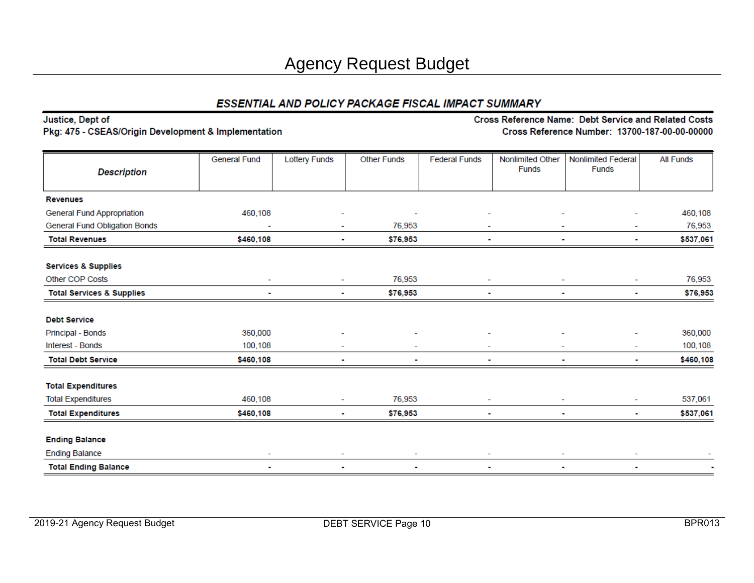#### ESSENTIAL AND POLICY PACKAGE FISCAL IMPACT SUMMARY

| Justice, Dept of                                     |                     | Cross Reference Name: Debt Service and Related Costs |                    |                      |                                  |                                               |                  |  |
|------------------------------------------------------|---------------------|------------------------------------------------------|--------------------|----------------------|----------------------------------|-----------------------------------------------|------------------|--|
| Pkg: 475 - CSEAS/Origin Development & Implementation |                     |                                                      |                    |                      |                                  | Cross Reference Number: 13700-187-00-00-00000 |                  |  |
| <b>Description</b>                                   | <b>General Fund</b> | <b>Lottery Funds</b>                                 | <b>Other Funds</b> | <b>Federal Funds</b> | Nonlimited Other<br><b>Funds</b> | <b>Nonlimited Federal</b><br><b>Funds</b>     | <b>All Funds</b> |  |
| <b>Revenues</b>                                      |                     |                                                      |                    |                      |                                  |                                               |                  |  |
| General Fund Appropriation                           | 460,108             |                                                      |                    |                      |                                  |                                               | 460,108          |  |
| <b>General Fund Obligation Bonds</b>                 |                     |                                                      | 76,953             |                      |                                  |                                               | 76,953           |  |
| <b>Total Revenues</b>                                | \$460,108           | ۰                                                    | \$76,953           |                      |                                  | ۰                                             | \$537,061        |  |
| <b>Services &amp; Supplies</b>                       |                     |                                                      |                    |                      |                                  |                                               |                  |  |
| Other COP Costs                                      |                     |                                                      | 76,953             |                      |                                  |                                               | 76,953           |  |
| <b>Total Services &amp; Supplies</b>                 |                     |                                                      | \$76,953           |                      |                                  |                                               | \$76,953         |  |
| <b>Debt Service</b>                                  |                     |                                                      |                    |                      |                                  |                                               |                  |  |
| Principal - Bonds                                    | 360,000             |                                                      |                    |                      |                                  |                                               | 360,000          |  |
| Interest - Bonds                                     | 100,108             |                                                      |                    |                      |                                  |                                               | 100,108          |  |
| <b>Total Debt Service</b>                            | \$460,108           |                                                      |                    |                      |                                  |                                               | \$460,108        |  |
| <b>Total Expenditures</b>                            |                     |                                                      |                    |                      |                                  |                                               |                  |  |
| <b>Total Expenditures</b>                            | 460,108             |                                                      | 76,953             |                      |                                  |                                               | 537,061          |  |
| <b>Total Expenditures</b>                            | \$460,108           |                                                      | \$76,953           |                      |                                  |                                               | \$537,061        |  |
| <b>Ending Balance</b>                                |                     |                                                      |                    |                      |                                  |                                               |                  |  |
| <b>Ending Balance</b>                                | ٠                   | ٠                                                    | ٠                  | ٠                    |                                  |                                               |                  |  |
| <b>Total Ending Balance</b>                          |                     | $\blacksquare$                                       |                    | $\blacksquare$       |                                  |                                               |                  |  |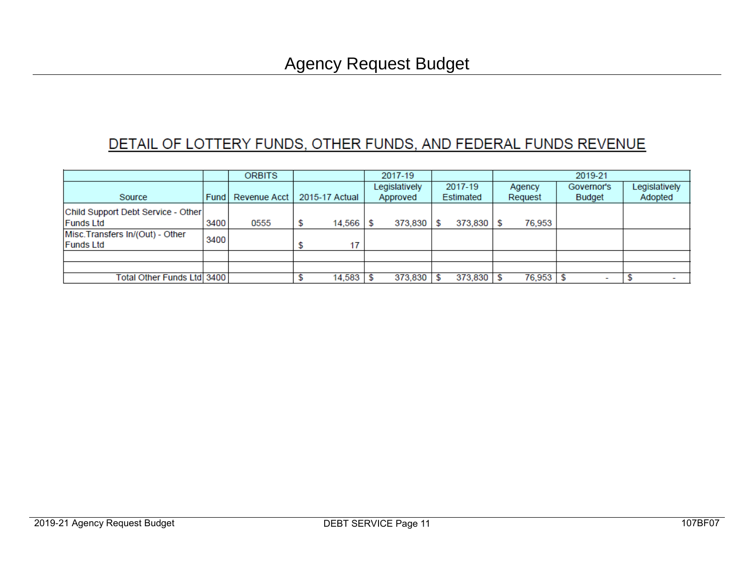## DETAIL OF LOTTERY FUNDS, OTHER FUNDS, AND FEDERAL FUNDS REVENUE

|                                                      |        | <b>ORBITS</b> |    |                | 2017-19       |         |           |         | 2019-21 |        |            |        |               |
|------------------------------------------------------|--------|---------------|----|----------------|---------------|---------|-----------|---------|---------|--------|------------|--------|---------------|
|                                                      |        |               |    |                | Legislatively |         | 2017-19   |         | Agency  |        | Governor's |        | Legislatively |
| Source                                               | Fund I | Revenue Acct  |    | 2015-17 Actual | Approved      |         | Estimated |         | Request |        |            | Budget | Adopted       |
| Child Support Debt Service - Other                   |        |               |    |                |               |         |           |         |         |        |            |        |               |
| <b>Funds Ltd</b>                                     | 3400   | 0555          | \$ | $14,566$ \$    |               | 373,830 |           | 373,830 |         | 76,953 |            |        |               |
| Misc. Transfers In/(Out) - Other<br><b>Funds Ltd</b> | 3400   |               |    |                |               |         |           |         |         |        |            |        |               |
|                                                      |        |               |    |                |               |         |           |         |         |        |            |        |               |
|                                                      |        |               |    |                |               |         |           |         |         |        |            |        |               |
| Total Other Funds Ltd  3400                          |        |               |    | 14,583         |               | 373,830 |           | 373,830 |         | 76,953 |            |        |               |